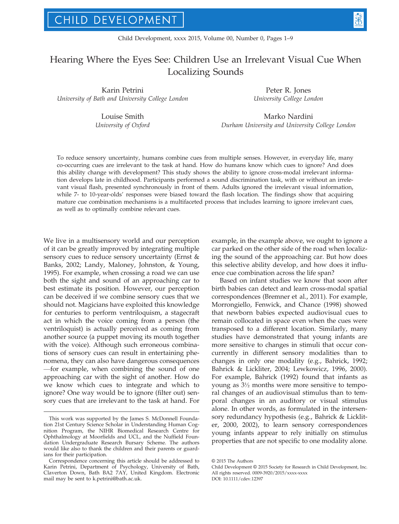# Hearing Where the Eyes See: Children Use an Irrelevant Visual Cue When Localizing Sounds

Karin Petrini University of Bath and University College London

Louise Smith

University of Oxford

Peter R. Jones University College London

Marko Nardini Durham University and University College London

To reduce sensory uncertainty, humans combine cues from multiple senses. However, in everyday life, many co-occurring cues are irrelevant to the task at hand. How do humans know which cues to ignore? And does this ability change with development? This study shows the ability to ignore cross-modal irrelevant information develops late in childhood. Participants performed a sound discrimination task, with or without an irrelevant visual flash, presented synchronously in front of them. Adults ignored the irrelevant visual information, while 7- to 10-year-olds' responses were biased toward the flash location. The findings show that acquiring mature cue combination mechanisms is a multifaceted process that includes learning to ignore irrelevant cues, as well as to optimally combine relevant cues.

We live in a multisensory world and our perception of it can be greatly improved by integrating multiple sensory cues to reduce sensory uncertainty (Ernst & Banks, 2002; Landy, Maloney, Johnston, & Young, 1995). For example, when crossing a road we can use both the sight and sound of an approaching car to best estimate its position. However, our perception can be deceived if we combine sensory cues that we should not. Magicians have exploited this knowledge for centuries to perform ventriloquism, a stagecraft act in which the voice coming from a person (the ventriloquist) is actually perceived as coming from another source (a puppet moving its mouth together with the voice). Although such erroneous combinations of sensory cues can result in entertaining phenomena, they can also have dangerous consequences —for example, when combining the sound of one approaching car with the sight of another. How do we know which cues to integrate and which to ignore? One way would be to ignore (filter out) sensory cues that are irrelevant to the task at hand. For

example, in the example above, we ought to ignore a car parked on the other side of the road when localizing the sound of the approaching car. But how does this selective ability develop, and how does it influence cue combination across the life span?

Based on infant studies we know that soon after birth babies can detect and learn cross-modal spatial correspondences (Bremner et al., 2011). For example, Morrongiello, Fenwick, and Chance (1998) showed that newborn babies expected audiovisual cues to remain collocated in space even when the cues were transposed to a different location. Similarly, many studies have demonstrated that young infants are more sensitive to changes in stimuli that occur concurrently in different sensory modalities than to changes in only one modality (e.g., Bahrick, 1992; Bahrick & Lickliter, 2004; Lewkowicz, 1996, 2000). For example, Bahrick (1992) found that infants as young as 3½ months were more sensitive to temporal changes of an audiovisual stimulus than to temporal changes in an auditory or visual stimulus alone. In other words, as formulated in the intersensory redundancy hypothesis (e.g., Bahrick & Lickliter, 2000, 2002), to learn sensory correspondences young infants appear to rely initially on stimulus properties that are not specific to one modality alone.

This work was supported by the James S. McDonnell Foundation 21st Century Science Scholar in Understanding Human Cognition Program, the NIHR Biomedical Research Centre for Ophthalmology at Moorfields and UCL, and the Nuffield Foundation Undergraduate Research Bursary Scheme. The authors would like also to thank the children and their parents or guardians for their participation.

Correspondence concerning this article should be addressed to Karin Petrini, Department of Psychology, University of Bath, Claverton Down, Bath BA2 7AY, United Kingdom. Electronic mail may be sent to k.petrini@bath.ac.uk.

<sup>©</sup> 2015 The Authors

Child Development © 2015 Society for Research in Child Development, Inc. All rights reserved. 0009-3920/2015/xxxx-xxxx DOI: 10.1111/cdev.12397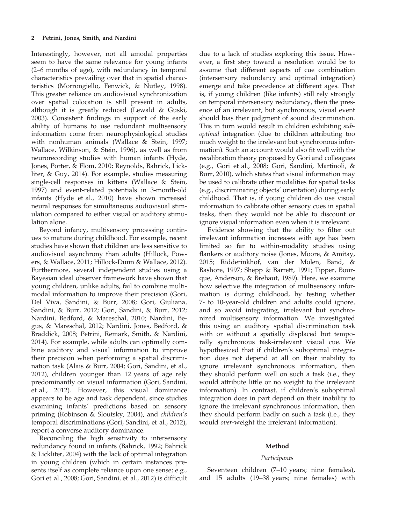Interestingly, however, not all amodal properties seem to have the same relevance for young infants (2–6 months of age), with redundancy in temporal characteristics prevailing over that in spatial characteristics (Morrongiello, Fenwick, & Nutley, 1998). This greater reliance on audiovisual synchronization over spatial colocation is still present in adults, although it is greatly reduced (Lewald & Guski, 2003). Consistent findings in support of the early ability of humans to use redundant multisensory information come from neurophysiological studies with nonhuman animals (Wallace & Stein, 1997; Wallace, Wilkinson, & Stein, 1996), as well as from neurorecording studies with human infants (Hyde, Jones, Porter, & Flom, 2010; Reynolds, Bahrick, Lickliter, & Guy, 2014). For example, studies measuring single-cell responses in kittens (Wallace & Stein, 1997) and event-related potentials in 3-month-old infants (Hyde et al., 2010) have shown increased neural responses for simultaneous audiovisual stimulation compared to either visual or auditory stimulation alone.

Beyond infancy, multisensory processing continues to mature during childhood. For example, recent studies have shown that children are less sensitive to audiovisual asynchrony than adults (Hillock, Powers, & Wallace, 2011; Hillock-Dunn & Wallace, 2012). Furthermore, several independent studies using a Bayesian ideal observer framework have shown that young children, unlike adults, fail to combine multimodal information to improve their precision (Gori, Del Viva, Sandini, & Burr, 2008; Gori, Giuliana, Sandini, & Burr, 2012; Gori, Sandini, & Burr, 2012; Nardini, Bedford, & Mareschal, 2010; Nardini, Begus, & Mareschal, 2012; Nardini, Jones, Bedford, & Braddick, 2008; Petrini, Remark, Smith, & Nardini, 2014). For example, while adults can optimally combine auditory and visual information to improve their precision when performing a spatial discrimination task (Alais & Burr, 2004; Gori, Sandini, et al., 2012), children younger than 12 years of age rely predominantly on visual information (Gori, Sandini, et al., 2012). However, this visual dominance appears to be age and task dependent, since studies examining infants' predictions based on sensory priming (Robinson & Sloutsky, 2004), and children's temporal discriminations (Gori, Sandini, et al., 2012), report a converse auditory dominance.

Reconciling the high sensitivity to intersensory redundancy found in infants (Bahrick, 1992; Bahrick & Lickliter, 2004) with the lack of optimal integration in young children (which in certain instances presents itself as complete reliance upon one sense; e.g., Gori et al., 2008; Gori, Sandini, et al., 2012) is difficult

due to a lack of studies exploring this issue. However, a first step toward a resolution would be to assume that different aspects of cue combination (intersensory redundancy and optimal integration) emerge and take precedence at different ages. That is, if young children (like infants) still rely strongly on temporal intersensory redundancy, then the presence of an irrelevant, but synchronous, visual event should bias their judgment of sound discrimination. This in turn would result in children exhibiting suboptimal integration (due to children attributing too much weight to the irrelevant but synchronous information). Such an account would also fit well with the recalibration theory proposed by Gori and colleagues (e.g., Gori et al., 2008; Gori, Sandini, Martinoli, & Burr, 2010), which states that visual information may be used to calibrate other modalities for spatial tasks (e.g., discriminating objects' orientation) during early childhood. That is, if young children do use visual information to calibrate other sensory cues in spatial tasks, then they would not be able to discount or ignore visual information even when it is irrelevant.

Evidence showing that the ability to filter out irrelevant information increases with age has been limited so far to within-modality studies using flankers or auditory noise (Jones, Moore, & Amitay, 2015; Ridderinkhof, van der Molen, Band, & Bashore, 1997; Shepp & Barrett, 1991; Tipper, Bourque, Anderson, & Brehaut, 1989). Here, we examine how selective the integration of multisensory information is during childhood, by testing whether 7- to 10-year-old children and adults could ignore, and so avoid integrating, irrelevant but synchronized multisensory information. We investigated this using an auditory spatial discrimination task with or without a spatially displaced but temporally synchronous task-irrelevant visual cue. We hypothesized that if children's suboptimal integration does not depend at all on their inability to ignore irrelevant synchronous information, then they should perform well on such a task (i.e., they would attribute little or no weight to the irrelevant information). In contrast, if children's suboptimal integration does in part depend on their inability to ignore the irrelevant synchronous information, then they should perform badly on such a task (i.e., they would over-weight the irrelevant information).

## Method

#### Participants

Seventeen children (7–10 years; nine females), and 15 adults (19–38 years; nine females) with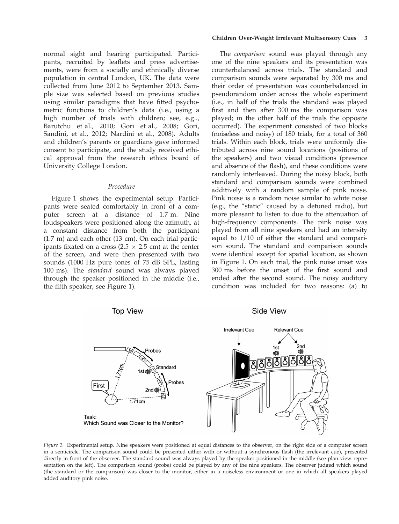normal sight and hearing participated. Participants, recruited by leaflets and press advertisements, were from a socially and ethnically diverse population in central London, UK. The data were collected from June 2012 to September 2013. Sample size was selected based on previous studies using similar paradigms that have fitted psychometric functions to children's data (i.e., using a high number of trials with children; see, e.g.., Barutchu et al., 2010; Gori et al., 2008; Gori, Sandini, et al., 2012; Nardini et al., 2008). Adults and children's parents or guardians gave informed consent to participate, and the study received ethical approval from the research ethics board of University College London.

## Procedure

Figure 1 shows the experimental setup. Participants were seated comfortably in front of a computer screen at a distance of 1.7 m. Nine loudspeakers were positioned along the azimuth, at a constant distance from both the participant (1.7 m) and each other (13 cm). On each trial participants fixated on a cross ( $2.5 \times 2.5$  cm) at the center of the screen, and were then presented with two sounds (1000 Hz pure tones of 75 dB SPL, lasting 100 ms). The standard sound was always played through the speaker positioned in the middle (i.e., the fifth speaker; see Figure 1).

#### Children Over-Weight Irrelevant Multisensory Cues 3

The *comparison* sound was played through any one of the nine speakers and its presentation was counterbalanced across trials. The standard and comparison sounds were separated by 300 ms and their order of presentation was counterbalanced in pseudorandom order across the whole experiment (i.e., in half of the trials the standard was played first and then after 300 ms the comparison was played; in the other half of the trials the opposite occurred). The experiment consisted of two blocks (noiseless and noisy) of 180 trials, for a total of 360 trials. Within each block, trials were uniformly distributed across nine sound locations (positions of the speakers) and two visual conditions (presence and absence of the flash), and these conditions were randomly interleaved. During the noisy block, both standard and comparison sounds were combined additively with a random sample of pink noise. Pink noise is a random noise similar to white noise (e.g., the "static" caused by a detuned radio), but more pleasant to listen to due to the attenuation of high-frequency components. The pink noise was played from all nine speakers and had an intensity equal to 1/10 of either the standard and comparison sound. The standard and comparison sounds were identical except for spatial location, as shown in Figure 1. On each trial, the pink noise onset was 300 ms before the onset of the first sound and ended after the second sound. The noisy auditory condition was included for two reasons: (a) to



Figure 1. Experimental setup. Nine speakers were positioned at equal distances to the observer, on the right side of a computer screen in a semicircle. The comparison sound could be presented either with or without a synchronous flash (the irrelevant cue), presented directly in front of the observer. The standard sound was always played by the speaker positioned in the middle (see plan view representation on the left). The comparison sound (probe) could be played by any of the nine speakers. The observer judged which sound (the standard or the comparison) was closer to the monitor, either in a noiseless environment or one in which all speakers played added auditory pink noise.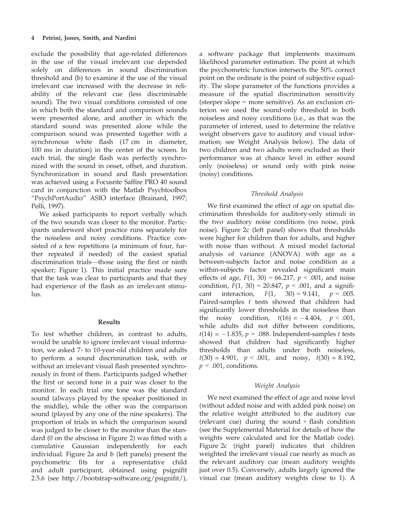exclude the possibility that age-related differences in the use of the visual irrelevant cue depended solely on differences in sound discrimination threshold and (b) to examine if the use of the visual irrelevant cue increased with the decrease in reliability of the relevant cue (less discriminable sound). The two visual conditions consisted of one in which both the standard and comparison sounds were presented alone, and another in which the standard sound was presented alone while the comparison sound was presented together with a synchronous white flash (17 cm in diameter, 100 ms in duration) in the center of the screen. In each trial, the single flash was perfectly synchronized with the sound in onset, offset, and duration. Synchronization in sound and flash presentation was achieved using a Focusrite Saffire PRO 40 sound card in conjunction with the Matlab Psychtoolbox "PsychPortAudio" ASIO interface (Brainard, 1997; Pelli, 1997).

We asked participants to report verbally which of the two sounds was closer to the monitor. Participants underwent short practice runs separately for the noiseless and noisy conditions. Practice consisted of a few repetitions (a minimum of four, further repeated if needed) of the easiest spatial discrimination trials—those using the first or ninth speaker; Figure 1). This initial practice made sure that the task was clear to participants and that they had experience of the flash as an irrelevant stimu- $\ln s$ .

### Results

To test whether children, in contrast to adults, would be unable to ignore irrelevant visual information, we asked 7- to 10-year-old children and adults to perform a sound discrimination task, with or without an irrelevant visual flash presented synchronously in front of them. Participants judged whether the first or second tone in a pair was closer to the monitor. In each trial one tone was the standard sound (always played by the speaker positioned in the middle), while the other was the comparison sound (played by any one of the nine speakers). The proportion of trials in which the comparison sound was judged to be closer to the monitor than the standard (0 on the abscissa in Figure 2) was fitted with a cumulative Gaussian independently for each individual. Figure 2a and b (left panels) present the psychometric fits for a representative child and adult participant, obtained using psignifit 2.5.6 (see [http://bootstrap-software.org/psigni](http://bootstrap-software.org/psignifit/)fit/),

a software package that implements maximum likelihood parameter estimation. The point at which the psychometric function intersects the 50% correct point on the ordinate is the point of subjective equality. The slope parameter of the functions provides a measure of the spatial discrimination sensitivity (steeper slope = more sensitive). As an exclusion criterion we used the sound-only threshold in both noiseless and noisy conditions (i.e., as that was the parameter of interest, used to determine the relative weight observers gave to auditory and visual information; see Weight Analysis below). The data of two children and two adults were excluded as their performance was at chance level in either sound only (noiseless) or sound only with pink noise (noisy) conditions.

## Threshold Analysis

We first examined the effect of age on spatial discrimination thresholds for auditory-only stimuli in the two auditory noise conditions (no noise, pink noise). Figure 2c (left panel) shows that thresholds were higher for children than for adults, and higher with noise than without. A mixed model factorial analysis of variance (ANOVA) with age as a between-subjects factor and noise condition as a within-subjects factor revealed significant main effects of age,  $F(1, 30) = 66.217$ ,  $p < .001$ , and noise condition,  $F(1, 30) = 20.847$ ,  $p < .001$ , and a significant interaction,  $F(1, 30) = 9.141$ ,  $p = .005$ . cant interaction,  $F(1, 30) = 9.141$ , Paired-samples  $t$  tests showed that children had significantly lower thresholds in the noiseless than the noisy condition,  $t(16) = -4.404$ ,  $p < .001$ , while adults did not differ between conditions,  $t(14) = -1.835$ ,  $p = .088$ . Independent-samples t tests showed that children had significantly higher thresholds than adults under both noiseless,  $t(30) = 4.901$ ,  $p < .001$ , and noisy,  $t(30) = 8.192$ ,  $p < .001$ , conditions.

### Weight Analysis

We next examined the effect of age and noise level (without added noise and with added pink noise) on the relative weight attributed to the auditory cue (relevant cue) during the sound  $+$  flash condition (see the Supplemental Material for details of how the weights were calculated and for the Matlab code). Figure 2c (right panel) indicates that children weighted the irrelevant visual cue nearly as much as the relevant auditory cue (mean auditory weights just over 0.5). Conversely, adults largely ignored the visual cue (mean auditory weights close to 1). A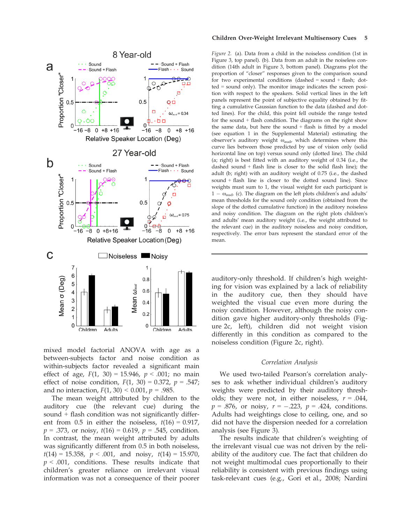

mixed model factorial ANOVA with age as a between-subjects factor and noise condition as within-subjects factor revealed a significant main effect of age,  $F(1, 30) = 15.946$ ,  $p < .001$ ; no main effect of noise condition,  $F(1, 30) = 0.372$ ,  $p = .547$ ; and no interaction,  $F(1, 30) < 0.001$ ,  $p = .985$ .

The mean weight attributed by children to the auditory cue (the relevant cue) during the sound + flash condition was not significantly different from 0.5 in either the noiseless,  $t(16) = 0.917$ ,  $p = .373$ , or noisy,  $t(16) = 0.619$ ,  $p = .545$ , condition. In contrast, the mean weight attributed by adults was significantly different from 0.5 in both noiseless,  $t(14) = 15.358$ ,  $p < .001$ , and noisy,  $t(14) = 15.970$ ,  $p < .001$ , conditions. These results indicate that children's greater reliance on irrelevant visual information was not a consequence of their poorer

#### Children Over-Weight Irrelevant Multisensory Cues 5

Figure 2. (a). Data from a child in the noiseless condition (1st in Figure 3, top panel). (b). Data from an adult in the noiseless condition (14th adult in Figure 3, bottom panel). Diagrams plot the proportion of "closer" responses given to the comparison sound for two experimental conditions  $(dashed = sound + flash; dot$ ted = sound only). The monitor image indicates the screen position with respect to the speakers. Solid vertical lines in the left panels represent the point of subjective equality obtained by fitting a cumulative Gaussian function to the data (dashed and dotted lines). For the child, this point fell outside the range tested for the sound + flash condition. The diagrams on the right show the same data, but here the sound + flash is fitted by a model (see equation 1 in the Supplemental Material) estimating the observer's auditory weight  $\omega_{\text{aud}}$ , which determines where this curve lies between those predicted by use of vision only (solid horizontal line on top) versus sound only (dotted line). The child (a; right) is best fitted with an auditory weight of 0.34 (i.e., the dashed sound + flash line is closer to the solid flash line); the adult (b; right) with an auditory weight of 0.75 (i.e., the dashed sound + flash line is closer to the dotted sound line). Since weights must sum to 1, the visual weight for each participant is  $1 - \omega_{\text{aud}}$ . (c). The diagram on the left plots children's and adults' mean thresholds for the sound only condition (obtained from the slope of the dotted cumulative function) in the auditory noiseless and noisy condition. The diagram on the right plots children's and adults' mean auditory weight (i.e., the weight attributed to the relevant cue) in the auditory noiseless and noisy condition, respectively. The error bars represent the standard error of the mean.

auditory-only threshold. If children's high weighting for vision was explained by a lack of reliability in the auditory cue, then they should have weighted the visual cue even more during the noisy condition. However, although the noisy condition gave higher auditory-only thresholds (Figure 2c, left), children did not weight vision differently in this condition as compared to the noiseless condition (Figure 2c, right).

#### Correlation Analysis

We used two-tailed Pearson's correlation analyses to ask whether individual children's auditory weights were predicted by their auditory thresholds; they were not, in either noiseless,  $r = .044$ ,  $p = .876$ , or noisy,  $r = -.223$ ,  $p = .424$ , conditions. Adults had weightings close to ceiling, one, and so did not have the dispersion needed for a correlation analysis (see Figure 3).

The results indicate that children's weighting of the irrelevant visual cue was not driven by the reliability of the auditory cue. The fact that children do not weight multimodal cues proportionally to their reliability is consistent with previous findings using task-relevant cues (e.g., Gori et al., 2008; Nardini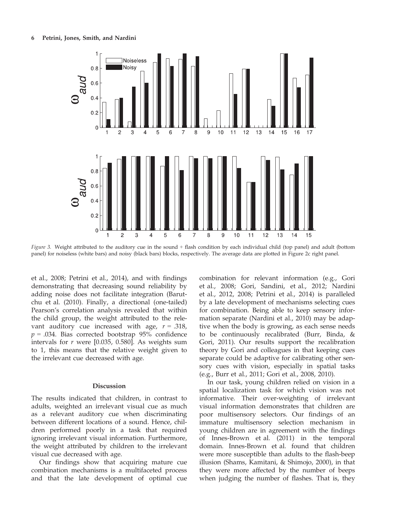

Figure 3. Weight attributed to the auditory cue in the sound + flash condition by each individual child (top panel) and adult (bottom panel) for noiseless (white bars) and noisy (black bars) blocks, respectively. The average data are plotted in Figure 2c right panel.

et al., 2008; Petrini et al., 2014), and with findings demonstrating that decreasing sound reliability by adding noise does not facilitate integration (Barutchu et al. (2010). Finally, a directional (one-tailed) Pearson's correlation analysis revealed that within the child group, the weight attributed to the relevant auditory cue increased with age,  $r = .318$ ,  $p = .034$ . Bias corrected bootstrap 95% confidence intervals for  $r$  were [0.035, 0.580]. As weights sum to 1, this means that the relative weight given to the irrelevant cue decreased with age.

## Discussion

The results indicated that children, in contrast to adults, weighted an irrelevant visual cue as much as a relevant auditory cue when discriminating between different locations of a sound. Hence, children performed poorly in a task that required ignoring irrelevant visual information. Furthermore, the weight attributed by children to the irrelevant visual cue decreased with age.

Our findings show that acquiring mature cue combination mechanisms is a multifaceted process and that the late development of optimal cue

combination for relevant information (e.g., Gori et al., 2008; Gori, Sandini, et al., 2012; Nardini et al., 2012, 2008; Petrini et al., 2014) is paralleled by a late development of mechanisms selecting cues for combination. Being able to keep sensory information separate (Nardini et al., 2010) may be adaptive when the body is growing, as each sense needs to be continuously recalibrated (Burr, Binda, & Gori, 2011). Our results support the recalibration theory by Gori and colleagues in that keeping cues separate could be adaptive for calibrating other sensory cues with vision, especially in spatial tasks (e.g., Burr et al., 2011; Gori et al., 2008, 2010).

In our task, young children relied on vision in a spatial localization task for which vision was not informative. Their over-weighting of irrelevant visual information demonstrates that children are poor multisensory selectors. Our findings of an immature multisensory selection mechanism in young children are in agreement with the findings of Innes-Brown et al. (2011) in the temporal domain. Innes-Brown et al. found that children were more susceptible than adults to the flash-beep illusion (Shams, Kamitani, & Shimojo, 2000), in that they were more affected by the number of beeps when judging the number of flashes. That is, they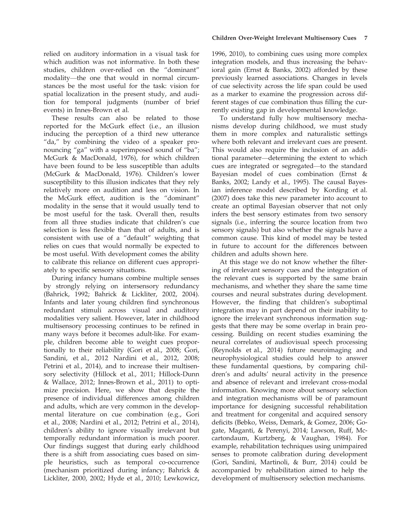relied on auditory information in a visual task for which audition was not informative. In both these studies, children over-relied on the "dominant" modality—the one that would in normal circumstances be the most useful for the task: vision for spatial localization in the present study, and audition for temporal judgments (number of brief events) in Innes-Brown et al.

These results can also be related to those reported for the McGurk effect (i.e., an illusion inducing the perception of a third new utterance "da," by combining the video of a speaker pronouncing "ga" with a superimposed sound of "ba"; McGurk & MacDonald, 1976), for which children have been found to be less susceptible than adults (McGurk & MacDonald, 1976). Children's lower susceptibility to this illusion indicates that they rely relatively more on audition and less on vision. In the McGurk effect, audition is the "dominant" modality in the sense that it would usually tend to be most useful for the task. Overall then, results from all three studies indicate that children's cue selection is less flexible than that of adults, and is consistent with use of a "default" weighting that relies on cues that would normally be expected to be most useful. With development comes the ability to calibrate this reliance on different cues appropriately to specific sensory situations.

During infancy humans combine multiple senses by strongly relying on intersensory redundancy (Bahrick, 1992; Bahrick & Lickliter, 2002, 2004). Infants and later young children find synchronous redundant stimuli across visual and auditory modalities very salient. However, later in childhood multisensory processing continues to be refined in many ways before it becomes adult-like. For example, children become able to weight cues proportionally to their reliability (Gori et al., 2008; Gori, Sandini, et al., 2012 Nardini et al., 2012, 2008; Petrini et al., 2014), and to increase their multisensory selectivity (Hillock et al., 2011; Hillock-Dunn & Wallace, 2012; Innes-Brown et al., 2011) to optimize precision. Here, we show that despite the presence of individual differences among children and adults, which are very common in the developmental literature on cue combination (e.g., Gori et al., 2008; Nardini et al., 2012; Petrini et al., 2014), children's ability to ignore visually irrelevant but temporally redundant information is much poorer. Our findings suggest that during early childhood there is a shift from associating cues based on simple heuristics, such as temporal co-occurrence (mechanism prioritized during infancy; Bahrick & Lickliter, 2000, 2002; Hyde et al., 2010; Lewkowicz,

1996, 2010), to combining cues using more complex integration models, and thus increasing the behavioral gain (Ernst & Banks, 2002) afforded by these previously learned associations. Changes in levels of cue selectivity across the life span could be used as a marker to examine the progression across different stages of cue combination thus filling the currently existing gap in developmental knowledge.

To understand fully how multisensory mechanisms develop during childhood, we must study them in more complex and naturalistic settings where both relevant and irrelevant cues are present. This would also require the inclusion of an additional parameter—determining the extent to which cues are integrated or segregated—to the standard Bayesian model of cues combination (Ernst & Banks, 2002; Landy et al., 1995). The causal Bayesian inference model described by Kording et al. (2007) does take this new parameter into account to create an optimal Bayesian observer that not only infers the best sensory estimates from two sensory signals (i.e., inferring the source location from two sensory signals) but also whether the signals have a common cause. This kind of model may be tested in future to account for the differences between children and adults shown here.

At this stage we do not know whether the filtering of irrelevant sensory cues and the integration of the relevant cues is supported by the same brain mechanisms, and whether they share the same time courses and neural substrates during development. However, the finding that children's suboptimal integration may in part depend on their inability to ignore the irrelevant synchronous information suggests that there may be some overlap in brain processing. Building on recent studies examining the neural correlates of audiovisual speech processing (Reynolds et al., 2014) future neuroimaging and neurophysiological studies could help to answer these fundamental questions, by comparing children's and adults' neural activity in the presence and absence of relevant and irrelevant cross-modal information. Knowing more about sensory selection and integration mechanisms will be of paramount importance for designing successful rehabilitation and treatment for congenital and acquired sensory deficits (Bebko, Weiss, Demark, & Gomez, 2006; Gogate, Maganti, & Perenyi, 2014; Lawson, Ruff, Mccartondaum, Kurtzberg, & Vaughan, 1984). For example, rehabilitation techniques using unimpaired senses to promote calibration during development (Gori, Sandini, Martinoli, & Burr, 2014) could be accompanied by rehabilitation aimed to help the development of multisensory selection mechanisms.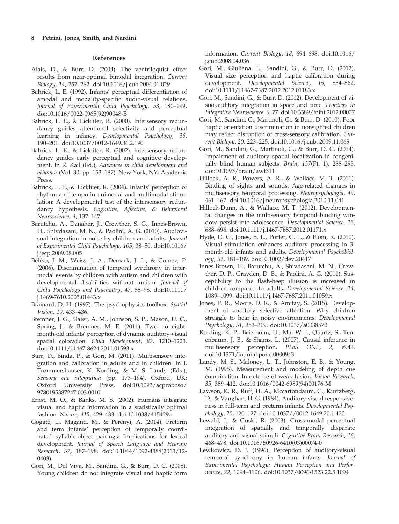### References

- Alais, D., & Burr, D. (2004). The ventriloquist effect results from near-optimal bimodal integration. Current Biology, 14, 257–262. doi:[10.1016/j.cub.2004.01.029](http://dx.doi.org/10.1016/j.cub.2004.01.029)
- Bahrick, L. E. (1992). Infants' perceptual differentiation of amodal and modality-specific audio-visual relations. Journal of Experimental Child Psychology, 53, 180–199. doi:[10.1016/0022-0965\(92\)90048-B](http://dx.doi.org/10.1016/0022-0965(92)90048-B)
- Bahrick, L. E., & Lickliter, R. (2000). Intersensory redundancy guides attentional selectivity and perceptual learning in infancy. Developmental Psychology, 36, 190–201. doi[:10.1037/0012-1649.36.2.190](http://dx.doi.org/10.1037/0012-1649.36.2.190)
- Bahrick, L. E., & Lickliter, R. (2002). Intersensory redundancy guides early perceptual and cognitive development. In R. Kail (Ed.), Advances in child development and behavior (Vol. 30, pp. 153–187). New York, NY: Academic Press.
- Bahrick, L. E., & Lickliter, R. (2004). Infants' perception of rhythm and tempo in unimodal and multimodal stimulation: A developmental test of the intersensory redundancy hypothesis. Cognitive, Affective, & Behavioral Neuroscience, 4, 137–147.
- Barutchu, A., Danaher, J., Crewther, S. G., Innes-Brown, H., Shivdasani, M. N., & Paolini, A. G. (2010). Audiovisual integration in noise by children and adults. Journal of Experimental Child Psychology, 105, 38–50. doi:[10.1016/](http://dx.doi.org/10.1016/j.jecp.2009.08.005) [j.jecp.2009.08.005](http://dx.doi.org/10.1016/j.jecp.2009.08.005)
- Bebko, J. M., Weiss, J. A., Demark, J. L., & Gomez, P. (2006). Discrimination of temporal synchrony in intermodal events by children with autism and children with developmental disabilities without autism. Journal of Child Psychology and Psychiatry, 47, 88–98. doi:[10.1111/](http://dx.doi.org/10.1111/j.1469-7610.2005.01443.x) [j.1469-7610.2005.01443.x](http://dx.doi.org/10.1111/j.1469-7610.2005.01443.x)
- Brainard, D. H. (1997). The psychophysics toolbox. Spatial Vision, 10, 433–436.
- Bremner, J. G., Slater, A. M., Johnson, S. P., Mason, U. C., Spring, J., & Bremner, M. E. (2011). Two- to eightmonth-old infants' perception of dynamic auditory-visual spatial colocation. Child Development, 82, 1210–1223. doi:[10.1111/j.1467-8624.2011.01593.x](http://dx.doi.org/10.1111/j.1467-8624.2011.01593.x)
- Burr, D., Binda, P., & Gori, M. (2011). Multisensory integration and calibration in adults and in children. In J. Trommershauser, K. Kording, & M. S. Landy (Eds.), Sensory cue integration (pp. 173–194). Oxford, UK: Oxford University Press. doi:[10.1093/acprof:oso/](http://dx.doi.org/10.1093/acprof:oso/9780195387247.003.0010) [9780195387247.003.0010](http://dx.doi.org/10.1093/acprof:oso/9780195387247.003.0010)
- Ernst, M. O., & Banks, M. S. (2002). Humans integrate visual and haptic information in a statistically optimal fashion. Nature, 415, 429–433. doi:[10.1038/415429a](http://dx.doi.org/10.1038/415429a)
- Gogate, L., Maganti, M., & Perenyi, A. (2014). Preterm and term infants' perception of temporally coordinated syllable-object pairings: Implications for lexical development. Journal of Speech Language and Hearing Research, 57, 187–198. doi:[10.1044/1092-4388\(2013/12-](http://dx.doi.org/10.1044/1092-4388(2013/12-0403)) [0403\)](http://dx.doi.org/10.1044/1092-4388(2013/12-0403))
- Gori, M., Del Viva, M., Sandini, G., & Burr, D. C. (2008). Young children do not integrate visual and haptic form

information. Current Biology, 18, 694–698. doi[:10.1016/](http://dx.doi.org/10.1016/j.cub.2008.04.036) [j.cub.2008.04.036](http://dx.doi.org/10.1016/j.cub.2008.04.036)

- Gori, M., Giuliana, L., Sandini, G., & Burr, D. (2012). Visual size perception and haptic calibration during development. Developmental Science, 15, 854–862. doi[:10.1111/j.1467-7687.2012.2012.01183.x](http://dx.doi.org/10.1111/j.1467-7687.2012.2012.01183.x)
- Gori, M., Sandini, G., & Burr, D. (2012). Development of visuo-auditory integration in space and time. Frontiers in Integrative Neuroscience, 6, 77. doi[:10.3389/fnint.2012.00077](http://dx.doi.org/10.3389/fnint.2012.00077)
- Gori, M., Sandini, G., Martinoli, C., & Burr, D. (2010). Poor haptic orientation discrimination in nonsighted children may reflect disruption of cross-sensory calibration. Current Biology, 20, 223–225. doi[:10.1016/j.cub. 2009.11.069](http://dx.doi.org/10.1016/j.cub.2009.11.069)
- Gori, M., Sandini, G., Martinoli, C., & Burr, D. C. (2014). Impairment of auditory spatial localization in congenitally blind human subjects. Brain, 137(Pt. 1), 288–293. doi[:10.1093/brain/awt311](http://dx.doi.org/10.1093/brain/awt311)
- Hillock, A. R., Powers, A. R., & Wallace, M. T. (2011). Binding of sights and sounds: Age-related changes in multisensory temporal processing. Neuropsychologia, 49, 461–467. doi[:10.1016/j.neuropsychologia.2010.11.041](http://dx.doi.org/10.1016/j.neuropsychologia.2010.11.041)
- Hillock-Dunn, A., & Wallace, M. T. (2012). Developmental changes in the multisensory temporal binding window persist into adolescence. Developmental Science, 15, 688–696. doi[:10.1111/j.1467-7687.2012.01171.x](http://dx.doi.org/10.1111/j.1467-7687.2012.01171.x)
- Hyde, D. C., Jones, B. L., Porter, C. L., & Flom, R. (2010). Visual stimulation enhances auditory processing in 3 month-old infants and adults. Developmental Psychobiology, 52, 181–189. doi[:10.1002/dev.20417](http://dx.doi.org/10.1002/dev.20417)
- Innes-Brown, H., Barutchu, A., Shivdasani, M. N., Crewther, D. P., Grayden, D. B., & Paolini, A. G. (2011). Susceptibility to the flash-beep illusion is increased in children compared to adults. Developmental Science, 14, 1089–1099. doi[:10.1111/j.1467-7687.2011.01059.x](http://dx.doi.org/10.1111/j.1467-7687.2011.01059.x)
- Jones, P. R., Moore, D. R., & Amitay, S. (2015). Development of auditory selective attention: Why children struggle to hear in noisy environments. Developmental Psychology, 51, 353–369. doi[:10.1037/a0038570](http://dx.doi.org/10.1037/a0038570)
- Kording, K. P., Beierholm, U., Ma, W. J., Quartz, S., Tenenbaum, J. B., & Shams, L. (2007). Causal inference in multisensory perception. PLoS ONE, 2, e943. doi[:10.1371/journal.pone.0000943](http://dx.doi.org/10.1371/journal.pone.0000943)
- Landy, M. S., Maloney, L. T., Johnston, E. B., & Young, M. (1995). Measurement and modeling of depth cue combination: In defense of weak fusion. Vision Research, 35, 389–412. doi[:10.1016/0042-6989\(94\)00176-M](http://dx.doi.org/10.1016/0042-6989(94)00176-M)
- Lawson, K. R., Ruff, H. A., Mccartondaum, C., Kurtzberg, D., & Vaughan, H. G. (1984). Auditory visual responsiveness in full-term and preterm infants. Developmental Psychology, 20, 120–127. doi[:10.1037//0012-1649.20.1.120](http://dx.doi.org/10.1037//0012-1649.20.1.120)
- Lewald, J., & Guski, R. (2003). Cross-modal perceptual integration of spatially and temporally disparate auditory and visual stimuli. Cognitive Brain Research, 16, 468–478. doi[:10.1016/S0926-6410\(03\)00074-0](http://dx.doi.org/10.1016/S0926-6410(03)00074-0)
- Lewkowicz, D. J. (1996). Perception of auditory-visual temporal synchrony in human infants. Journal of Experimental Psychology: Human Perception and Performance, 22, 1094–1106. doi[:10.1037/0096-1523.22.5.1094](http://dx.doi.org/10.1037/0096-1523.22.5.1094)